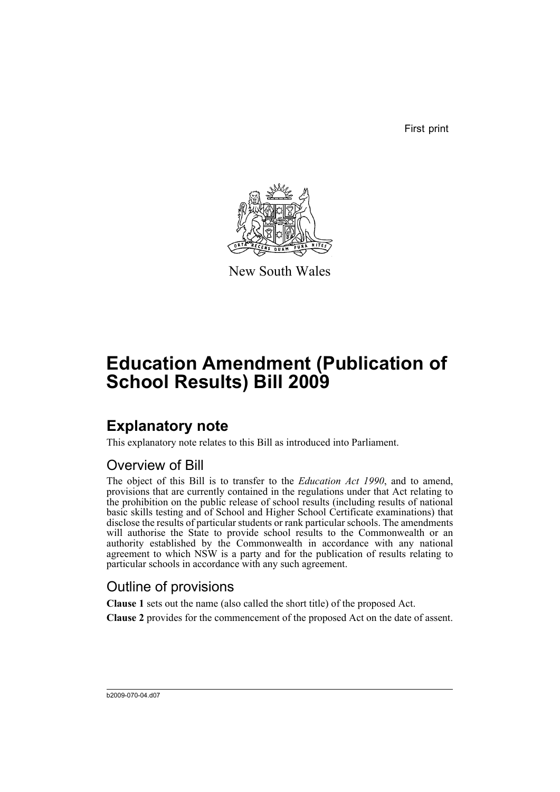First print



New South Wales

# **Education Amendment (Publication of School Results) Bill 2009**

## **Explanatory note**

This explanatory note relates to this Bill as introduced into Parliament.

### Overview of Bill

The object of this Bill is to transfer to the *Education Act 1990*, and to amend, provisions that are currently contained in the regulations under that Act relating to the prohibition on the public release of school results (including results of national basic skills testing and of School and Higher School Certificate examinations) that disclose the results of particular students or rank particular schools. The amendments will authorise the State to provide school results to the Commonwealth or an authority established by the Commonwealth in accordance with any national agreement to which NSW is a party and for the publication of results relating to particular schools in accordance with any such agreement.

### Outline of provisions

**Clause 1** sets out the name (also called the short title) of the proposed Act.

**Clause 2** provides for the commencement of the proposed Act on the date of assent.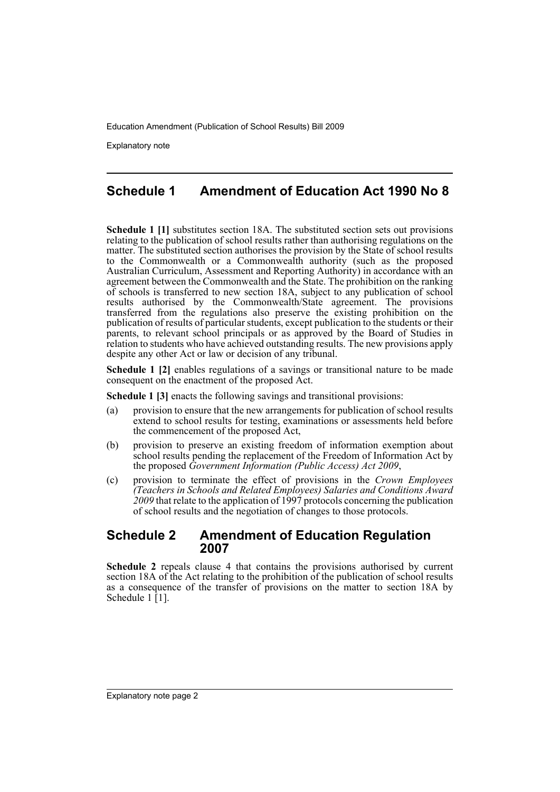Explanatory note

### **Schedule 1 Amendment of Education Act 1990 No 8**

**Schedule 1 [1]** substitutes section 18A. The substituted section sets out provisions relating to the publication of school results rather than authorising regulations on the matter. The substituted section authorises the provision by the State of school results to the Commonwealth or a Commonwealth authority (such as the proposed Australian Curriculum, Assessment and Reporting Authority) in accordance with an agreement between the Commonwealth and the State. The prohibition on the ranking of schools is transferred to new section 18A, subject to any publication of school results authorised by the Commonwealth/State agreement. The provisions transferred from the regulations also preserve the existing prohibition on the publication of results of particular students, except publication to the students or their parents, to relevant school principals or as approved by the Board of Studies in relation to students who have achieved outstanding results. The new provisions apply despite any other Act or law or decision of any tribunal.

**Schedule 1 [2]** enables regulations of a savings or transitional nature to be made consequent on the enactment of the proposed Act.

**Schedule 1 [3]** enacts the following savings and transitional provisions:

- (a) provision to ensure that the new arrangements for publication of school results extend to school results for testing, examinations or assessments held before the commencement of the proposed Act,
- (b) provision to preserve an existing freedom of information exemption about school results pending the replacement of the Freedom of Information Act by the proposed *Government Information (Public Access) Act 2009*,
- (c) provision to terminate the effect of provisions in the *Crown Employees (Teachers in Schools and Related Employees) Salaries and Conditions Award 2009* that relate to the application of 1997 protocols concerning the publication of school results and the negotiation of changes to those protocols.

#### **Schedule 2 Amendment of Education Regulation 2007**

**Schedule 2** repeals clause 4 that contains the provisions authorised by current section 18A of the Act relating to the prohibition of the publication of school results as a consequence of the transfer of provisions on the matter to section 18A by Schedule  $1 \mid 1 \mid$ .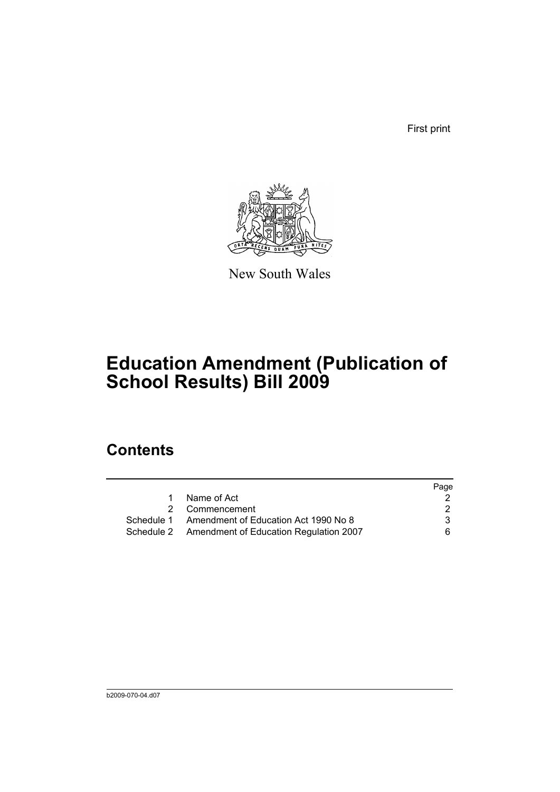First print



New South Wales

## **Education Amendment (Publication of School Results) Bill 2009**

## **Contents**

|                                                   | Page |
|---------------------------------------------------|------|
| Name of Act                                       |      |
| 2 Commencement                                    |      |
| Schedule 1 Amendment of Education Act 1990 No 8   | 3    |
| Schedule 2 Amendment of Education Regulation 2007 | 6.   |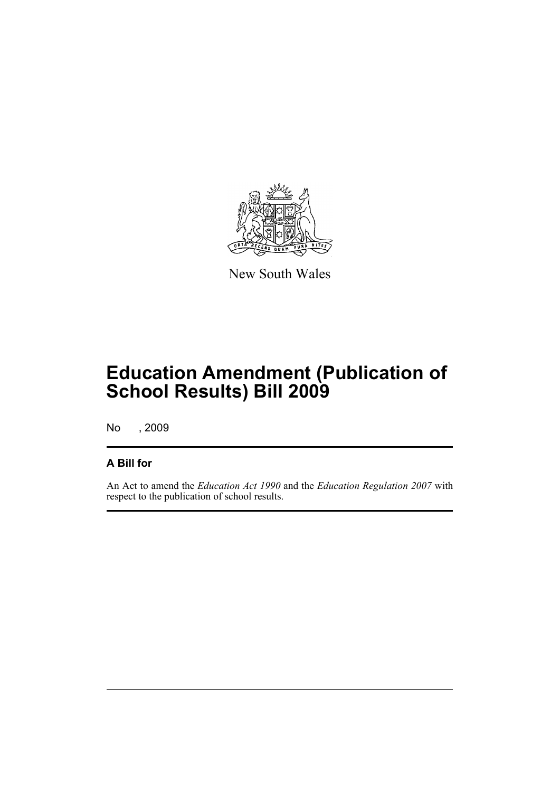

New South Wales

## **Education Amendment (Publication of School Results) Bill 2009**

No , 2009

### **A Bill for**

An Act to amend the *Education Act 1990* and the *Education Regulation 2007* with respect to the publication of school results.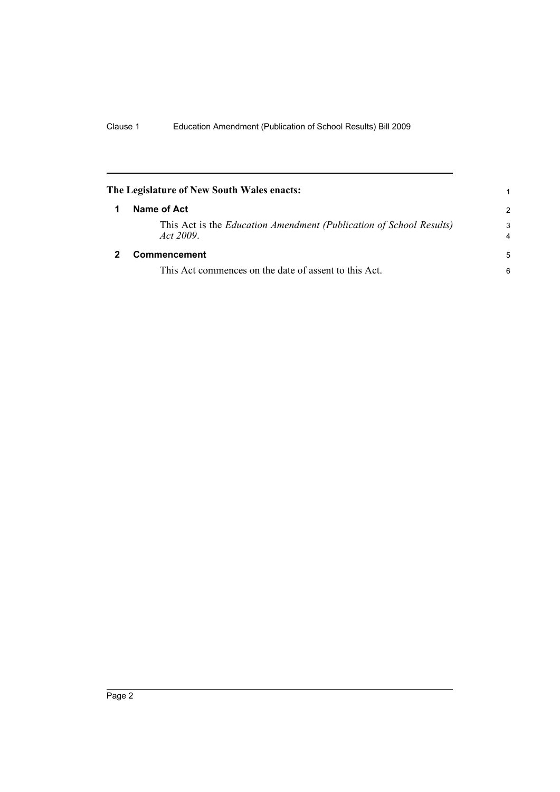<span id="page-5-1"></span><span id="page-5-0"></span>

| The Legislature of New South Wales enacts:                                             |                     |
|----------------------------------------------------------------------------------------|---------------------|
| Name of Act                                                                            | $\mathcal{P}$       |
| This Act is the <i>Education Amendment (Publication of School Results)</i><br>Act 2009 | 3<br>$\overline{4}$ |
| <b>Commencement</b>                                                                    | 5                   |
| This Act commences on the date of assent to this Act.                                  | 6                   |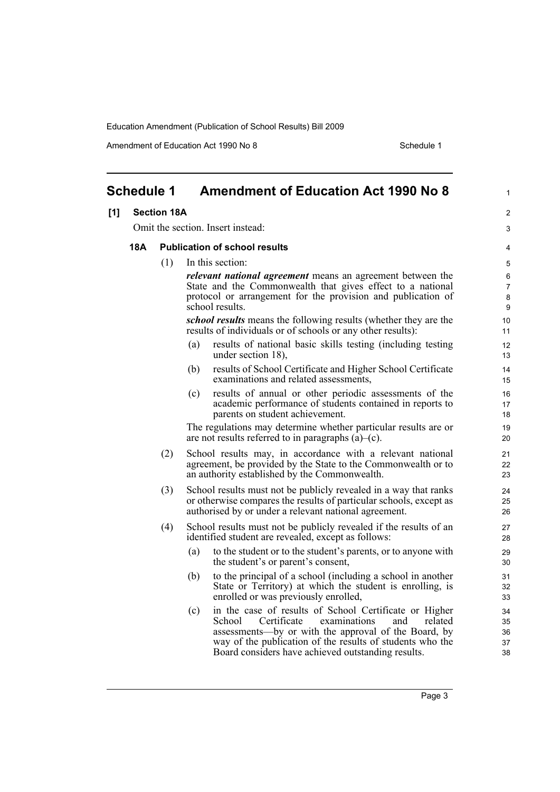Amendment of Education Act 1990 No 8 Schedule 1

2 3

<span id="page-6-0"></span>

| <b>Schedule 1</b> |                    | <b>Amendment of Education Act 1990 No 8</b>                                                                                                                                                                                                                                                         | 1                             |
|-------------------|--------------------|-----------------------------------------------------------------------------------------------------------------------------------------------------------------------------------------------------------------------------------------------------------------------------------------------------|-------------------------------|
| [1]               | <b>Section 18A</b> |                                                                                                                                                                                                                                                                                                     | 2                             |
|                   |                    | Omit the section. Insert instead:                                                                                                                                                                                                                                                                   | 3                             |
| 18A               |                    | <b>Publication of school results</b>                                                                                                                                                                                                                                                                | 4                             |
|                   | (1)                | In this section:                                                                                                                                                                                                                                                                                    | 5                             |
|                   |                    | <i>relevant national agreement</i> means an agreement between the<br>State and the Commonwealth that gives effect to a national<br>protocol or arrangement for the provision and publication of<br>school results.                                                                                  | 6<br>$\overline{7}$<br>8<br>9 |
|                   |                    | <i>school results</i> means the following results (whether they are the<br>results of individuals or of schools or any other results):                                                                                                                                                              | 10<br>11                      |
|                   |                    | (a)<br>results of national basic skills testing (including testing<br>under section 18),                                                                                                                                                                                                            | 12<br>13                      |
|                   |                    | results of School Certificate and Higher School Certificate<br>(b)<br>examinations and related assessments,                                                                                                                                                                                         | 14<br>15                      |
|                   |                    | results of annual or other periodic assessments of the<br>(c)<br>academic performance of students contained in reports to<br>parents on student achievement.                                                                                                                                        | 16<br>17<br>18                |
|                   |                    | The regulations may determine whether particular results are or<br>are not results referred to in paragraphs $(a)$ – $(c)$ .                                                                                                                                                                        | 19<br>20                      |
|                   | (2)                | School results may, in accordance with a relevant national<br>agreement, be provided by the State to the Commonwealth or to<br>an authority established by the Commonwealth.                                                                                                                        | 21<br>22<br>23                |
|                   | (3)                | School results must not be publicly revealed in a way that ranks<br>or otherwise compares the results of particular schools, except as<br>authorised by or under a relevant national agreement.                                                                                                     | 24<br>25<br>26                |
|                   | (4)                | School results must not be publicly revealed if the results of an<br>identified student are revealed, except as follows:                                                                                                                                                                            | 27<br>28                      |
|                   |                    | to the student or to the student's parents, or to anyone with<br>(a)<br>the student's or parent's consent,                                                                                                                                                                                          | 29<br>30                      |
|                   |                    | to the principal of a school (including a school in another<br>(b)<br>State or Territory) at which the student is enrolling, is<br>enrolled or was previously enrolled,                                                                                                                             | 31<br>32<br>33                |
|                   |                    | in the case of results of School Certificate or Higher<br>(c)<br>School<br>Certificate<br>examinations<br>and<br>related<br>assessments—by or with the approval of the Board, by<br>way of the publication of the results of students who the<br>Board considers have achieved outstanding results. | 34<br>35<br>36<br>37<br>38    |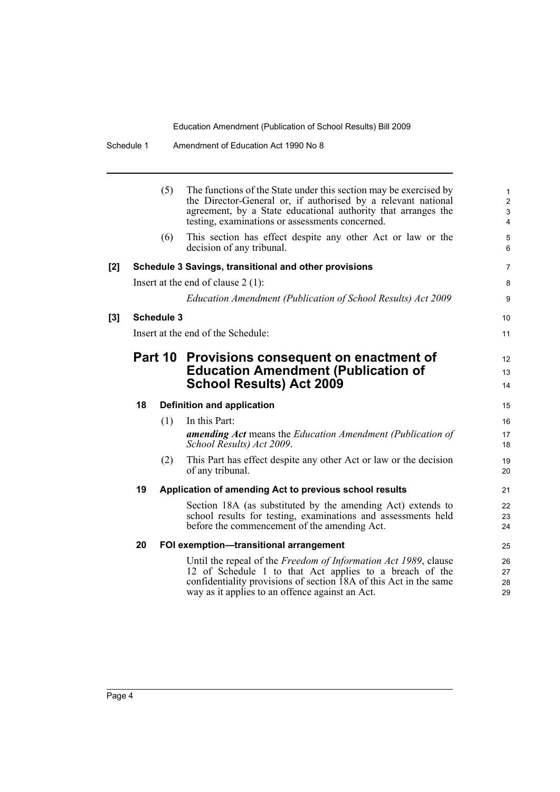|       |    | (5)               | The functions of the State under this section may be exercised by<br>the Director-General or, if authorised by a relevant national<br>agreement, by a State educational authority that arranges the<br>testing, examinations or assessments concerned. | $\mathbf{1}$<br>$\overline{2}$<br>$\mathfrak{S}$<br>4 |
|-------|----|-------------------|--------------------------------------------------------------------------------------------------------------------------------------------------------------------------------------------------------------------------------------------------------|-------------------------------------------------------|
|       |    | (6)               | This section has effect despite any other Act or law or the<br>decision of any tribunal.                                                                                                                                                               | 5<br>6                                                |
| [2]   |    |                   | Schedule 3 Savings, transitional and other provisions                                                                                                                                                                                                  | 7                                                     |
|       |    |                   | Insert at the end of clause $2(1)$ :                                                                                                                                                                                                                   | 8                                                     |
|       |    |                   | Education Amendment (Publication of School Results) Act 2009                                                                                                                                                                                           | 9                                                     |
| $[3]$ |    | <b>Schedule 3</b> |                                                                                                                                                                                                                                                        | 10                                                    |
|       |    |                   | Insert at the end of the Schedule:                                                                                                                                                                                                                     | 11                                                    |
|       |    |                   | Part 10 Provisions consequent on enactment of                                                                                                                                                                                                          | $12 \overline{ }$                                     |
|       |    |                   | <b>Education Amendment (Publication of</b>                                                                                                                                                                                                             | 13                                                    |
|       |    |                   | <b>School Results) Act 2009</b>                                                                                                                                                                                                                        | 14                                                    |
|       | 18 |                   | <b>Definition and application</b>                                                                                                                                                                                                                      | 15                                                    |
|       |    | (1)               | In this Part:                                                                                                                                                                                                                                          | 16                                                    |
|       |    |                   | <b>amending Act</b> means the Education Amendment (Publication of<br>School Results) Act 2009.                                                                                                                                                         | 17<br>18                                              |
|       |    | (2)               | This Part has effect despite any other Act or law or the decision<br>of any tribunal.                                                                                                                                                                  | 19<br>20                                              |
|       | 19 |                   | Application of amending Act to previous school results                                                                                                                                                                                                 | 21                                                    |
|       |    |                   | Section 18A (as substituted by the amending Act) extends to<br>school results for testing, examinations and assessments held<br>before the commencement of the amending Act.                                                                           | 22<br>23<br>24                                        |
|       | 20 |                   | FOI exemption-transitional arrangement                                                                                                                                                                                                                 | 25                                                    |
|       |    |                   | Until the repeal of the Freedom of Information Act 1989, clause<br>12 of Schedule 1 to that Act applies to a breach of the<br>confidentiality provisions of section 18A of this Act in the same<br>way as it applies to an offence against an Act.     | 26<br>27<br>28<br>29                                  |
|       |    |                   |                                                                                                                                                                                                                                                        |                                                       |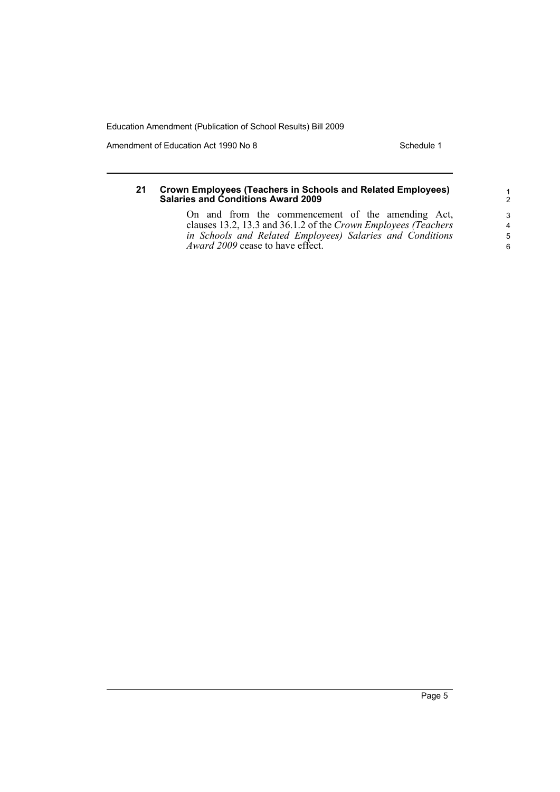Amendment of Education Act 1990 No 8 Schedule 1

#### **21 Crown Employees (Teachers in Schools and Related Employees) Salaries and Conditions Award 2009**

On and from the commencement of the amending Act, clauses 13.2, 13.3 and 36.1.2 of the *Crown Employees (Teachers in Schools and Related Employees) Salaries and Conditions Award 2009* cease to have effect.